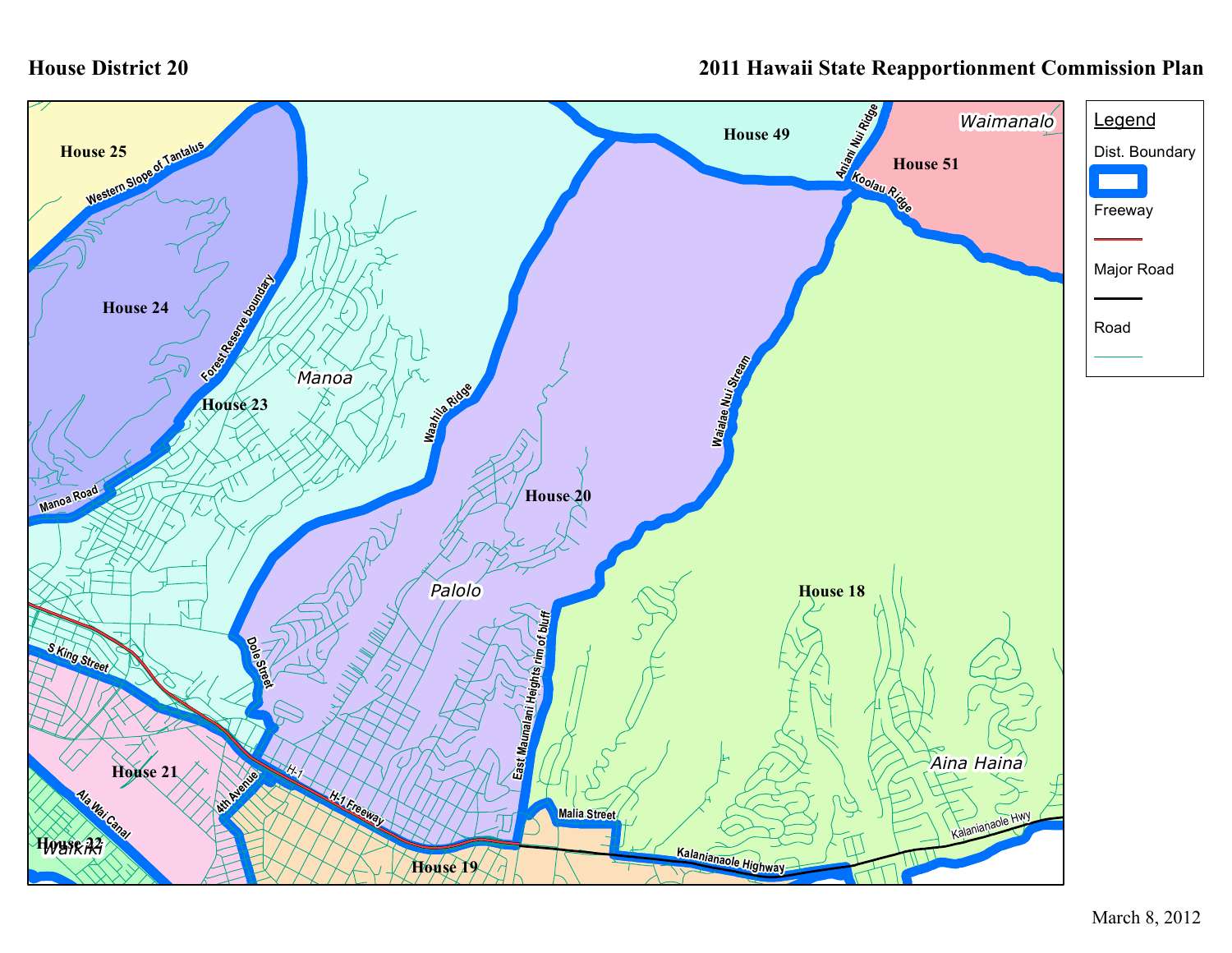## **House District 20**

## **2011 Hawaii State Reapportionment Commission Plan**